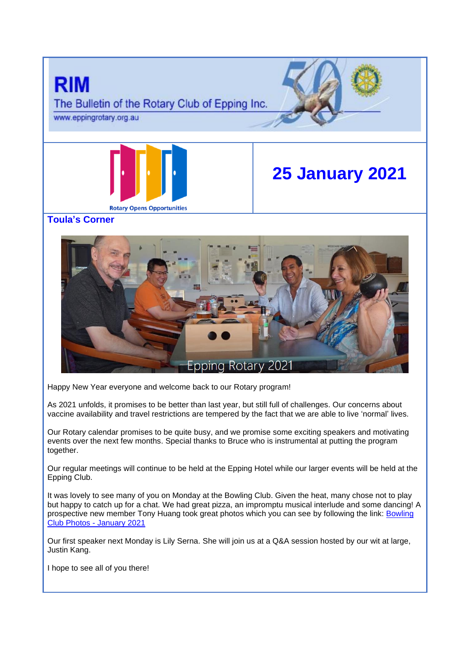

Happy New Year everyone and welcome back to our Rotary program!

As 2021 unfolds, it promises to be better than last year, but still full of challenges. Our concerns about vaccine availability and travel restrictions are tempered by the fact that we are able to live 'normal' lives.

Our Rotary calendar promises to be quite busy, and we promise some exciting speakers and motivating events over the next few months. Special thanks to Bruce who is instrumental at putting the program together.

Our regular meetings will continue to be held at the Epping Hotel while our larger events will be held at the Epping Club.

It was lovely to see many of you on Monday at the Bowling Club. Given the heat, many chose not to play but happy to catch up for a chat. We had great pizza, an impromptu musical interlude and some dancing! A prospective new member Tony Huang took great photos which you can see by following the link: [Bowling](https://apac01.safelinks.protection.outlook.com/?url=https%3A%2F%2F1drv.ms%2Fu%2Fs!BLVFrPIoa9VMidJHKSc2eKUu39ZaQA%3Fe%3DbWZdAF&data=04%7C01%7C%7Cdc44841ffea740c8357b08d8c1788d03%7C84df9e7fe9f640afb435aaaaaaaaaaaa%7C1%7C0%7C637472070877781342%7CUnknown%7CTWFpbGZsb3d8eyJWIjoiMC4wLjAwMDAiLCJQIjoiV2luMzIiLCJBTiI6Ik1haWwiLCJXVCI6Mn0%3D%7C1000&sdata=jDH1kiSdaHfWNwQQ0Fe1s2Zbx5tyvzTj92kKsDSB2ZM%3D&reserved=0)  Club Photos - [January 2021](https://apac01.safelinks.protection.outlook.com/?url=https%3A%2F%2F1drv.ms%2Fu%2Fs!BLVFrPIoa9VMidJHKSc2eKUu39ZaQA%3Fe%3DbWZdAF&data=04%7C01%7C%7Cdc44841ffea740c8357b08d8c1788d03%7C84df9e7fe9f640afb435aaaaaaaaaaaa%7C1%7C0%7C637472070877781342%7CUnknown%7CTWFpbGZsb3d8eyJWIjoiMC4wLjAwMDAiLCJQIjoiV2luMzIiLCJBTiI6Ik1haWwiLCJXVCI6Mn0%3D%7C1000&sdata=jDH1kiSdaHfWNwQQ0Fe1s2Zbx5tyvzTj92kKsDSB2ZM%3D&reserved=0)

Our first speaker next Monday is Lily Serna. She will join us at a Q&A session hosted by our wit at large, Justin Kang.

I hope to see all of you there!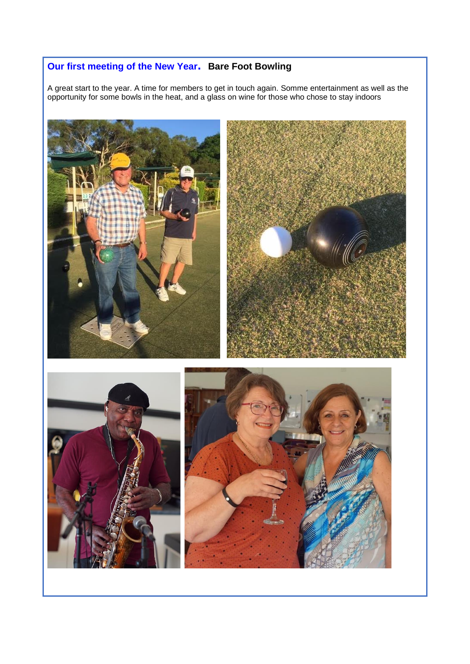# **Our first meeting of the New Year. Bare Foot Bowling**

A great start to the year. A time for members to get in touch again. Somme entertainment as well as the opportunity for some bowls in the heat, and a glass on wine for those who chose to stay indoors

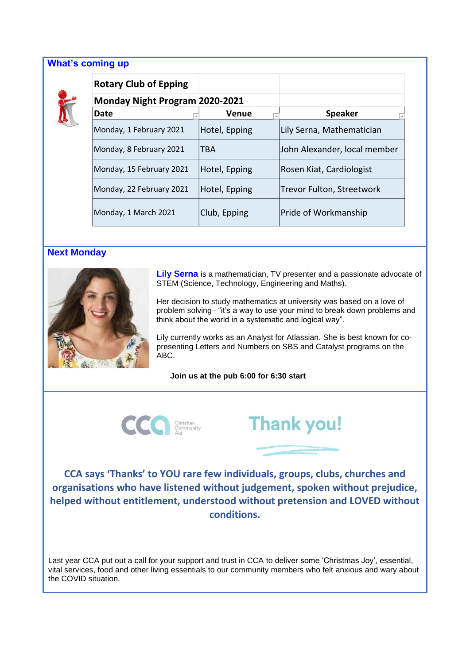### **What's coming up**



| <b>Rotary Club of Epping</b>          |                              |                                  |
|---------------------------------------|------------------------------|----------------------------------|
| <b>Monday Night Program 2020-2021</b> |                              |                                  |
| Date                                  | <b>Venue</b><br>$\checkmark$ | <b>Speaker</b>                   |
| Monday, 1 February 2021               | Hotel, Epping                | Lily Serna, Mathematician        |
| Monday, 8 February 2021               | <b>TBA</b>                   | John Alexander, local member     |
| Monday, 15 February 2021              | Hotel, Epping                | Rosen Kiat, Cardiologist         |
| Monday, 22 February 2021              | Hotel, Epping                | <b>Trevor Fulton, Streetwork</b> |
| Monday, 1 March 2021                  | Club, Epping                 | Pride of Workmanship             |

# **Next Monday**



**Lily Serna** is a mathematician, TV presenter and a passionate advocate of STEM (Science, Technology, Engineering and Maths).

Her decision to study mathematics at university was based on a love of problem solving– "it's a way to use your mind to break down problems and think about the world in a systematic and logical way".

Lily currently works as an Analyst for Atlassian. She is best known for copresenting Letters and Numbers on SBS and Catalyst programs on the ABC.

#### **Join us at the pub 6:00 for 6:30 start**





**CCA says 'Thanks' to YOU rare few individuals, groups, clubs, churches and organisations who have listened without judgement, spoken without prejudice, helped without entitlement, understood without pretension and LOVED without conditions.**

Last year CCA put out a call for your support and trust in CCA to deliver some 'Christmas Joy', essential, vital services, food and other living essentials to our community members who felt anxious and wary about the COVID situation.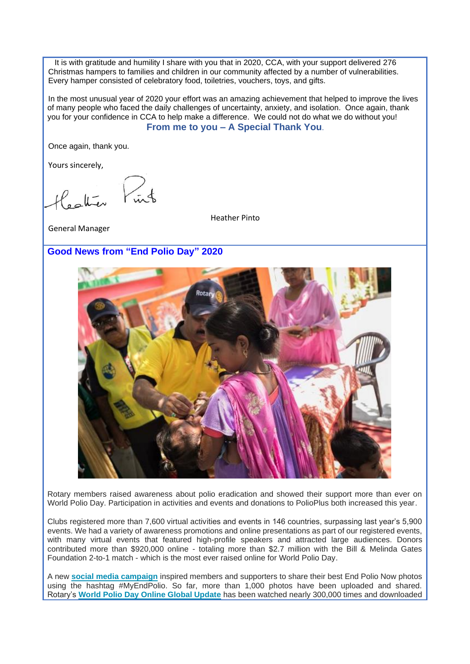It is with gratitude and humility I share with you that in 2020, CCA, with your support delivered 276 Christmas hampers to families and children in our community affected by a number of vulnerabilities. Every hamper consisted of celebratory food, toiletries, vouchers, toys, and gifts.

In the most unusual year of 2020 your effort was an amazing achievement that helped to improve the lives of many people who faced the daily challenges of uncertainty, anxiety, and isolation. Once again, thank you for your confidence in CCA to help make a difference. We could not do what we do without you! **From me to you – A Special Thank You**.

Once again, thank you.

Yours sincerely,

Heather

Heather Pinto

General Manager

## **Good News from "End Polio Day" 2020**



Rotary members raised awareness about polio eradication and showed their support more than ever on World Polio Day. Participation in activities and events and donations to PolioPlus both increased this year.

Clubs registered more than 7,600 virtual activities and events in 146 countries, surpassing last year's 5,900 events. We had a variety of awareness promotions and online presentations as part of our registered events, with many virtual events that featured high-profile speakers and attracted large audiences. Donors contributed more than \$920,000 online - totaling more than \$2.7 million with the Bill & Melinda Gates Foundation 2-to-1 match - which is the most ever raised online for World Polio Day.

A new **[social media campaign](http://msgfocus.rotary.org/c/1qD5YJFIPgpXCMYaIZVJj7cUWD7V)** inspired members and supporters to share their best End Polio Now photos using the hashtag #MyEndPolio. So far, more than 1,000 photos have been uploaded and shared. Rotary's **[World Polio Day Online Global Update](http://msgfocus.rotary.org/c/1qD5YYRNYWhs2MM6mRze8lzaJsMi)** has been watched nearly 300,000 times and downloaded